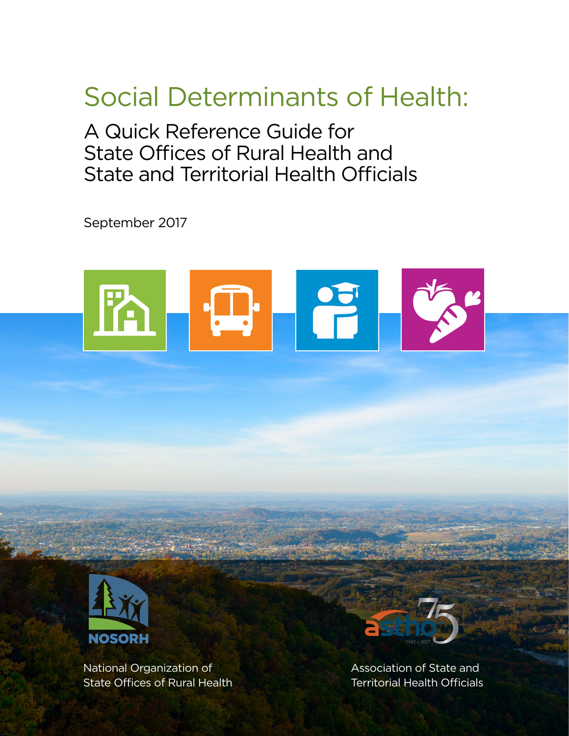# Social Determinants of Health:

A Quick Reference Guide for State Offices of Rural Health and State and Territorial Health Officials

September 2017



SOCIAL DETERMINANTS OF HEALTH 1999, IN 1999, IN 1999, IN 1999, IN 1999, IN 1999, IN 1999, IN 1999, IN 1999, IN



National Organization of Association of State and State Offices of Rural Health **Territorial Health Officials** 

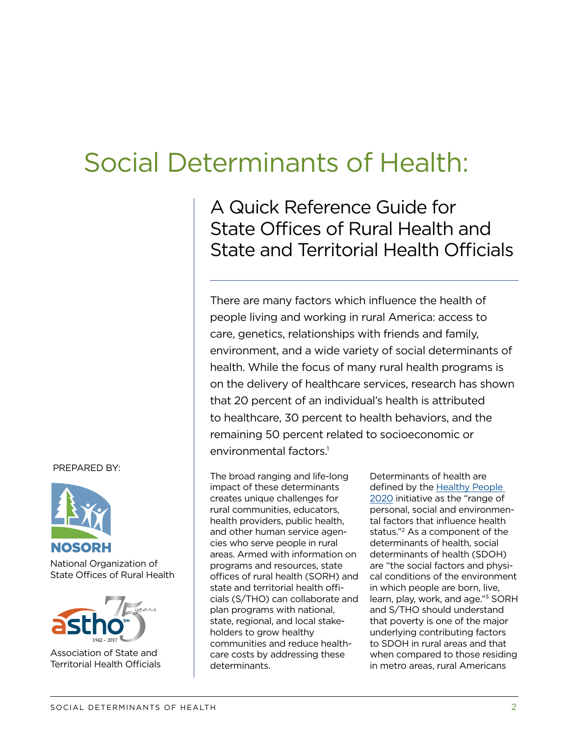## Social Determinants of Health:

A Quick Reference Guide for State Offices of Rural Health and State and Territorial Health Officials

There are many factors which influence the health of people living and working in rural America: access to care, genetics, relationships with friends and family, environment, and a wide variety of social determinants of health. While the focus of many rural health programs is on the delivery of healthcare services, research has shown that 20 percent of an individual's health is attributed to healthcare, 30 percent to health behaviors, and the remaining 50 percent related to socioeconomic or environmental factors.<sup>1</sup>

The broad ranging and life-long impact of these determinants creates unique challenges for rural communities, educators, health providers, public health, and other human service agencies who serve people in rural areas. Armed with information on programs and resources, state offices of rural health (SORH) and state and territorial health officials (S/THO) can collaborate and plan programs with national, state, regional, and local stakeholders to grow healthy communities and reduce healthcare costs by addressing these determinants.

Determinants of health are defined by the [Healthy People](https://www.healthypeople.gov)  [2020](https://www.healthypeople.gov) initiative as the "range of personal, social and environmental factors that influence health status."2 As a component of the determinants of health, social determinants of health (SDOH) are "the social factors and physical conditions of the environment in which people are born, live, learn, play, work, and age."3 SORH and S/THO should understand that poverty is one of the major underlying contributing factors to SDOH in rural areas and that when compared to those residing in metro areas, rural Americans

#### PREPARED BY:



National Organization of State Offices of Rural Health



Association of State and Territorial Health Officials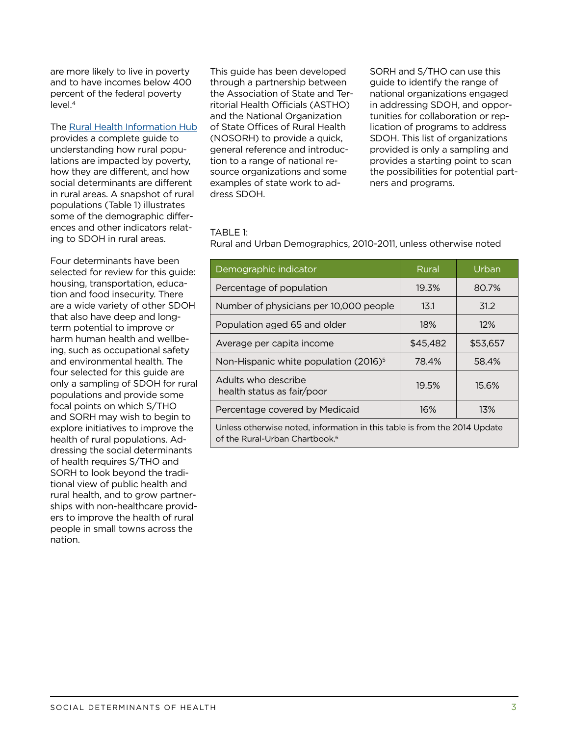are more likely to live in poverty and to have incomes below 400 percent of the federal poverty  $level.<sup>4</sup>$ 

#### The [Rural Health Information Hub](https://www.ruralhealthinfo.org/topics/social-determinants-of-health)

provides a complete guide to understanding how rural populations are impacted by poverty, how they are different, and how social determinants are different in rural areas. A snapshot of rural populations (Table 1) illustrates some of the demographic differences and other indicators relating to SDOH in rural areas.

Four determinants have been selected for review for this guide: housing, transportation, education and food insecurity. There are a wide variety of other SDOH that also have deep and longterm potential to improve or harm human health and wellbeing, such as occupational safety and environmental health. The four selected for this guide are only a sampling of SDOH for rural populations and provide some focal points on which S/THO and SORH may wish to begin to explore initiatives to improve the health of rural populations. Addressing the social determinants of health requires S/THO and SORH to look beyond the traditional view of public health and rural health, and to grow partnerships with non-healthcare providers to improve the health of rural people in small towns across the nation.

This guide has been developed through a partnership between the Association of State and Territorial Health Officials (ASTHO) and the National Organization of State Offices of Rural Health (NOSORH) to provide a quick, general reference and introduction to a range of national resource organizations and some examples of state work to address SDOH.

SORH and S/THO can use this guide to identify the range of national organizations engaged in addressing SDOH, and opportunities for collaboration or replication of programs to address SDOH. This list of organizations provided is only a sampling and provides a starting point to scan the possibilities for potential partners and programs.

#### TABLE 1:

Rural and Urban Demographics, 2010-2011, unless otherwise noted

| Demographic indicator                                                     | Rural    | Urban    |
|---------------------------------------------------------------------------|----------|----------|
| Percentage of population                                                  | 19.3%    | 80.7%    |
| Number of physicians per 10,000 people                                    | 13.1     | 31.2     |
| Population aged 65 and older                                              | 18%      | $12\%$   |
| Average per capita income                                                 | \$45,482 | \$53.657 |
| Non-Hispanic white population (2016) <sup>5</sup>                         | 78.4%    | 58.4%    |
| Adults who describe<br>health status as fair/poor                         | 19.5%    | 15.6%    |
| Percentage covered by Medicaid                                            | 16%      | 13%      |
| Unless otherwise noted, information in this table is from the 2014 Update |          |          |

of the Rural-Urban Chartbook.<sup>6</sup>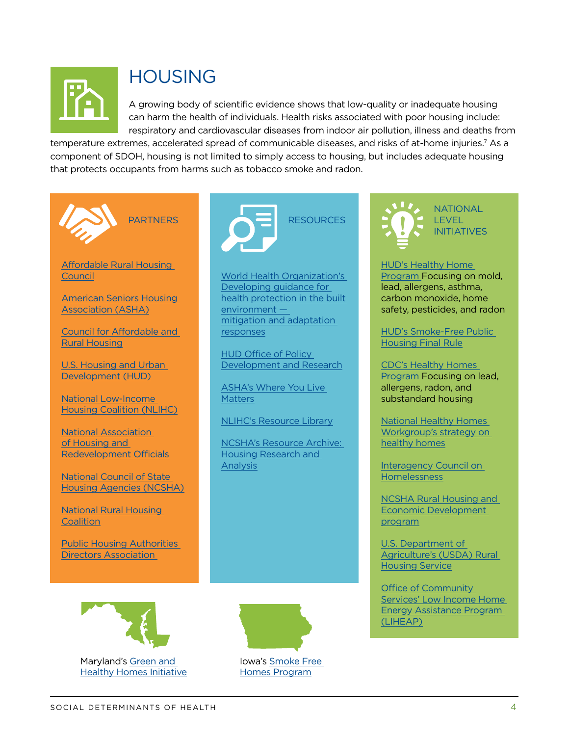

### HOUSING

A growing body of scientific evidence shows that low-quality or inadequate housing can harm the health of individuals. Health risks associated with poor housing include: respiratory and cardiovascular diseases from indoor air pollution, illness and deaths from

temperature extremes, accelerated spread of communicable diseases, and risks of at-home injuries.<sup>7</sup> As a component of SDOH, housing is not limited to simply access to housing, but includes adequate housing that protects occupants from harms such as tobacco smoke and radon.





World Health Organization's [Developing guidance for](http://www.who.int/hia/house_report.pdf?ua=1")  [health protection in the built](http://www.who.int/hia/house_report.pdf?ua=1")  [environment](http://www.who.int/hia/house_report.pdf?ua=1")  [mitigation and adaptation](http://www.who.int/hia/house_report.pdf?ua=1")  [responses](http://www.who.int/hia/house_report.pdf?ua=1")

[HUD Office of Policy](https://www.huduser.gov/portal/about/pdrabout.html)  [Development and Research](https://www.huduser.gov/portal/about/pdrabout.html)

ASHA's [Where You Live](http://www.whereyoulivematters.org/)  **[Matters](http://www.whereyoulivematters.org/)** 

NLIHC's [Resource Library](http://nlihc.org/library)

NCSHA's [Resource Archive:](https://www.ncsha.org/resources/list/2738)  [Housing Research and](https://www.ncsha.org/resources/list/2738)  [Analysis](https://www.ncsha.org/resources/list/2738)



NATIONAL LEVEL **INITIATIVES** 

**HUD's Healthy Home** [Program](https://portal.hud.gov/hudportal/HUD?src=/program_offices/healthy_homes/hhi) Focusing on mold, lead, allergens, asthma, carbon monoxide, home safety, pesticides, and radon

[HUD's Smoke-Free Public](https://www.gpo.gov/fdsys/pkg/FR-2016-12-05/pdf/2016-28986.pdf)  [Housing Final Rule](https://www.gpo.gov/fdsys/pkg/FR-2016-12-05/pdf/2016-28986.pdf)

[CDC's Healthy Homes](https://www.cdc.gov/nceh/lead/healthyhomes.htm)  [Program](https://www.cdc.gov/nceh/lead/healthyhomes.htm) Focusing on lead, allergens, radon, and substandard housing

National Healthy Homes Workgroup's [strategy on](https://portal.hud.gov/hudportal/documents/huddoc?id=Strategy_for_Action.pdf)  [healthy homes](https://portal.hud.gov/hudportal/documents/huddoc?id=Strategy_for_Action.pdf)

[Interagency Council on](https://www.usich.gov/about-usich/council)  [Homelessness](https://www.usich.gov/about-usich/council)

[NCSHA Rural Housing and](https://www.ncsha.org/advocacy-issues/rural-housing)  [Economic Development](https://www.ncsha.org/advocacy-issues/rural-housing)  [program](https://www.ncsha.org/advocacy-issues/rural-housing)

[U.S. Department of](https://www.rd.usda.gov/about-rd/agencies/rural-housing-service)  [Agriculture's \(USDA\) Rural](https://www.rd.usda.gov/about-rd/agencies/rural-housing-service)  [Housing Service](https://www.rd.usda.gov/about-rd/agencies/rural-housing-service)

[Office of Community](https://www.acf.hhs.gov/ocs/programs/liheap)  [Services' Low Income Home](https://www.acf.hhs.gov/ocs/programs/liheap)  [Energy Assistance Program](https://www.acf.hhs.gov/ocs/programs/liheap)  [\(LIHEAP\)](https://www.acf.hhs.gov/ocs/programs/liheap)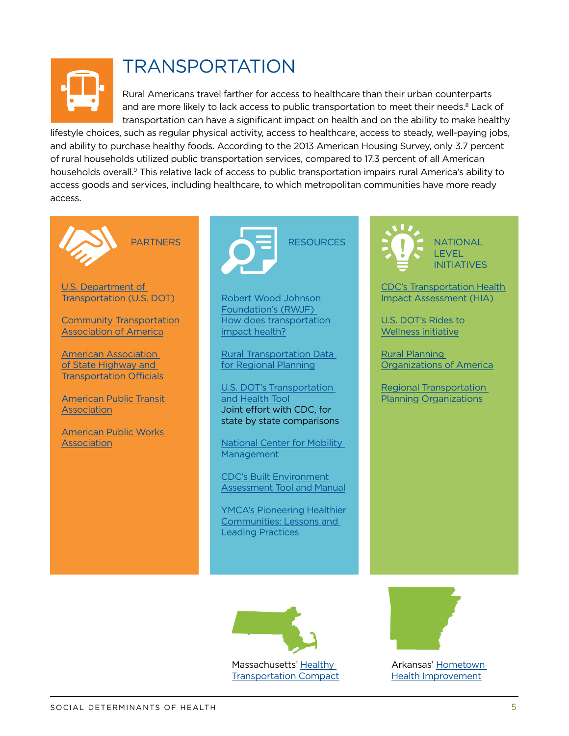

## TRANSPORTATION

Rural Americans travel farther for access to healthcare than their urban counterparts and are more likely to lack access to public transportation to meet their needs.<sup>8</sup> Lack of transportation can have a significant impact on health and on the ability to make healthy

lifestyle choices, such as regular physical activity, access to healthcare, access to steady, well-paying jobs, and ability to purchase healthy foods. According to the 2013 American Housing Survey, only 3.7 percent of rural households utilized public transportation services, compared to 17.3 percent of all American households overall.9 This relative lack of access to public transportation impairs rural America's ability to access goods and services, including healthcare, to which metropolitan communities have more ready access.





Robert Wood Johnson Foundation's (RWJF) [How does transportation](http://www.rwjf.org/en/library/research/2012/10/how-does-transportation-impact-health-.html)  [impact health?](http://www.rwjf.org/en/library/research/2012/10/how-does-transportation-impact-health-.html)

[Rural Transportation Data](http://ruraltransportation.org/category/data/)  [for Regional Planning](http://ruraltransportation.org/category/data/)

U.S. DOT's [Transportation](http://www.transportation.gov/transportation-health-tool)  [and Health Tool](http://www.transportation.gov/transportation-health-tool) Joint effort with CDC, for state by state comparisons

[National Center for Mobility](http://www.nc4mm.org/)  **[Management](http://www.nc4mm.org/)** 

CDC's [Built Environment](https://www.cdc.gov/nccdphp/dch/built-environment-assessment/)  [Assessment Tool and Manual](https://www.cdc.gov/nccdphp/dch/built-environment-assessment/)

YMCA's [Pioneering Healthier](http://www.ymca.net/sites/default/files/pdf/phc-lessons-leading-practices.pdf)  [Communities: Lessons and](http://www.ymca.net/sites/default/files/pdf/phc-lessons-leading-practices.pdf)  [Leading Practices](http://www.ymca.net/sites/default/files/pdf/phc-lessons-leading-practices.pdf)

**NATIONAL LEVEL** INITIATIVES

CDC's [Transportation Health](https://www.cdc.gov/healthyplaces/transportation/hia_toolkit.htm)  [Impact Assessment \(HIA\)](https://www.cdc.gov/healthyplaces/transportation/hia_toolkit.htm)

U.S. DOT's [Rides to](https://www.transit.dot.gov/ccam/about/initiatives)  [Wellness initiative](https://www.transit.dot.gov/ccam/about/initiatives)

[Rural Planning](http://ruraltransportation.org/)  [Organizations of America](http://ruraltransportation.org/)

[Regional Transportation](https://www.planning.dot.gov/focus_rural.asp)  [Planning Organizations](https://www.planning.dot.gov/focus_rural.asp)



Massachusetts' [Healthy](http://www.massdot.state.ma.us/planning/Main/SustainableTransportation/HealthyTransportation/HealthyTransportationCompact.aspx)  [Transportation Compact](http://www.massdot.state.ma.us/planning/Main/SustainableTransportation/HealthyTransportation/HealthyTransportationCompact.aspx)



Arkansas' [Hometown](http://www.healthy.arkansas.gov/programsServices/hometownHealth/Pages/HHI.aspx)  [Health Improvement](http://www.healthy.arkansas.gov/programsServices/hometownHealth/Pages/HHI.aspx)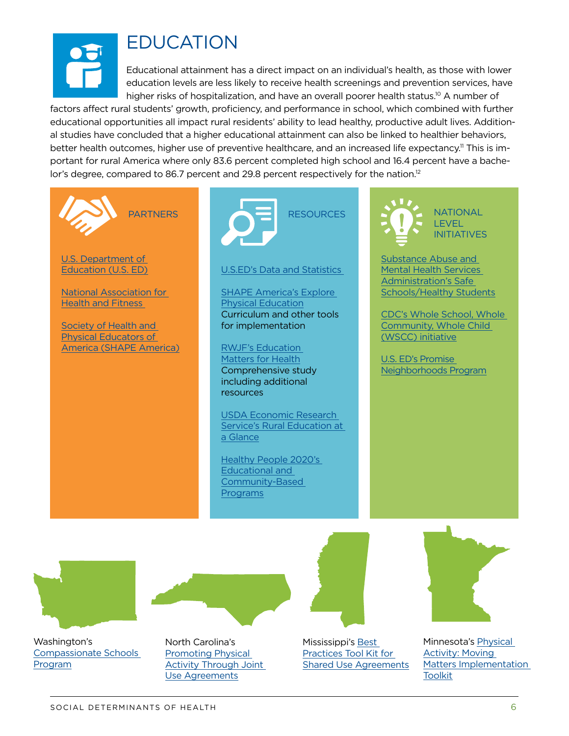

### EDUCATION

Educational attainment has a direct impact on an individual's health, as those with lower education levels are less likely to receive health screenings and prevention services, have higher risks of hospitalization, and have an overall poorer health status.<sup>10</sup> A number of

factors affect rural students' growth, proficiency, and performance in school, which combined with further educational opportunities all impact rural residents' ability to lead healthy, productive adult lives. Additional studies have concluded that a higher educational attainment can also be linked to healthier behaviors, better health outcomes, higher use of preventive healthcare, and an increased life expectancy.<sup>11</sup> This is important for rural America where only 83.6 percent completed high school and 16.4 percent have a bachelor's degree, compared to 86.7 percent and 29.8 percent respectively for the nation.<sup>12</sup>





U.S.ED's [Data and Statistics](https://www2.ed.gov/rschstat/landing.jhtml?src=image) 

SHAPE America's [Explore](http://www.shapeamerica.org/explorePE.cfm)  [Physical Education](http://www.shapeamerica.org/explorePE.cfm) Curriculum and other tools for implementation

RWJF's [Education](http://www.commissiononhealth.org/PDF/c270deb3-ba42-4fbd-baeb-2cd65956f00e/Issue%20Brief%206%20Sept%2009%20-%20Education%20and%20Health.pdf)  [Matters for Health](http://www.commissiononhealth.org/PDF/c270deb3-ba42-4fbd-baeb-2cd65956f00e/Issue%20Brief%206%20Sept%2009%20-%20Education%20and%20Health.pdf) Comprehensive study including additional resources

USDA Economic Research Service's [Rural Education at](https://www.ers.usda.gov/topics/rural-economy-population/employment-education/rural-education/)  [a Glance](https://www.ers.usda.gov/topics/rural-economy-population/employment-education/rural-education/)

Healthy People 2020's [Educational and](https://www.healthypeople.gov/2020/topics-objectives/topic/educational-and-community-based-programs)  [Community-Based](https://www.healthypeople.gov/2020/topics-objectives/topic/educational-and-community-based-programs)  [Programs](https://www.healthypeople.gov/2020/topics-objectives/topic/educational-and-community-based-programs)



**NATIONAL** LEVEL INITIATIVES

Substance Abuse and Mental Health Services Administration's [Safe](https://www.samhsa.gov/safe-schools-healthy-students)  [Schools/Healthy Students](https://www.samhsa.gov/safe-schools-healthy-students)

CDC's [Whole School, Whole](https://www.cdc.gov/healthyschools/wscc/index.htm)  [Community, Whole Child](https://www.cdc.gov/healthyschools/wscc/index.htm)  (WSCC) initiative

U.S. ED's [Promise](https://www.gpo.gov/fdsys/pkg/FR-2017-07-21/pdf/2017-15359.pdf)  [Neighborhoods Program](https://www.gpo.gov/fdsys/pkg/FR-2017-07-21/pdf/2017-15359.pdf)



Washington's [Compassionate Schools](http://www.k12.wa.us/compassionateschools/)  [Program](http://www.k12.wa.us/compassionateschools/)

North Carolina's [Promoting Physical](http://www.nchealthyschools.org/docs/resources/use-agreements.pdf)  [Activity Through Joint](http://www.nchealthyschools.org/docs/resources/use-agreements.pdf)  [Use Agreements](http://www.nchealthyschools.org/docs/resources/use-agreements.pdf)



Mississippi's [Best](http://www.mde.k12.ms.us/docs/healthy-schools/scannedfromaxeroxmultifunctiondevice0012.pdf?sfvrsn=2)  [Practices Tool Kit for](http://www.mde.k12.ms.us/docs/healthy-schools/scannedfromaxeroxmultifunctiondevice0012.pdf?sfvrsn=2)  [Shared Use Agreements](http://www.mde.k12.ms.us/docs/healthy-schools/scannedfromaxeroxmultifunctiondevice0012.pdf?sfvrsn=2)



Minnesota's [Physical](http://www.health.state.mn.us/movingmatters)  [Activity: Moving](http://www.health.state.mn.us/movingmatters)  [Matters Implementation](http://www.health.state.mn.us/movingmatters)  [Toolkit](http://www.health.state.mn.us/movingmatters)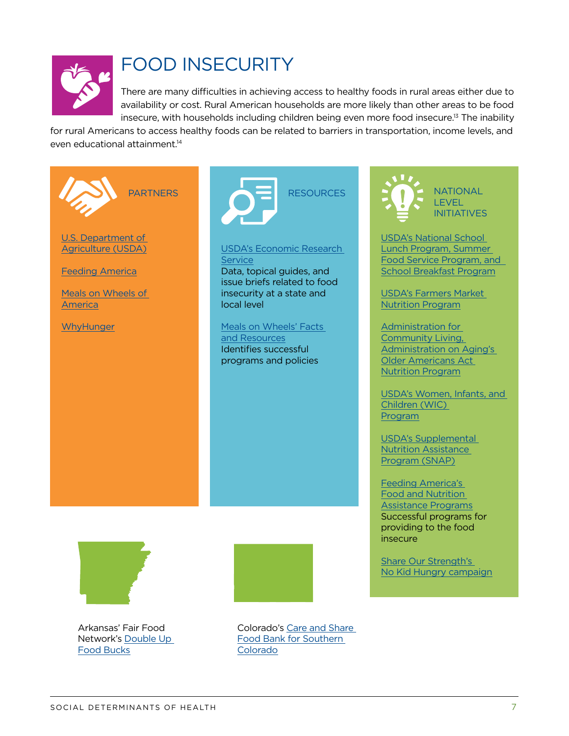

### FOOD INSECURITY

There are many difficulties in achieving access to healthy foods in rural areas either due to availability or cost. Rural American households are more likely than other areas to be food insecure, with households including children being even more food insecure.<sup>13</sup> The inability

for rural Americans to access healthy foods can be related to barriers in transportation, income levels, and even educational attainment.<sup>14</sup>



**NATIONAL** LEVEL INITIATIVES

USDA's [National School](https://www.fns.usda.gov/nslp/national-school-lunch-program-nslp)  [Lunch Program,](https://www.fns.usda.gov/nslp/national-school-lunch-program-nslp) [Summer](https://www.fns.usda.gov/sfsp/summer-food-service-program)  [Food Service Program](https://www.fns.usda.gov/sfsp/summer-food-service-program), [and](https://www.fns.usda.gov/sbp/school-breakfast-program-sbp)  [School Breakfast Program](https://www.fns.usda.gov/sbp/school-breakfast-program-sbp)

USDA's [Farmers Market](https://www.fns.usda.gov/fmnp/wic-farmers-market-nutrition-program-fmnp)  [Nutrition Program](https://www.fns.usda.gov/fmnp/wic-farmers-market-nutrition-program-fmnp)

Administration for **Community Living,** Administration on Aging's [Older Americans Act](https://www.acl.gov/programs/health-wellness/nutrition-services)  [Nutrition Program](https://www.acl.gov/programs/health-wellness/nutrition-services)

USDA's [Women, Infants, and](https://www.fns.usda.gov/wic/women-infants-and-children-wic)  [Children \(WIC\)](https://www.fns.usda.gov/wic/women-infants-and-children-wic)  [Program](https://www.fns.usda.gov/wic/women-infants-and-children-wic)

USDA's [Supplemental](https://www.fns.usda.gov/snap/supplemental-nutrition-assistance-program-snap)  [Nutrition Assistance](https://www.fns.usda.gov/snap/supplemental-nutrition-assistance-program-snap)  [Program \(SNAP\)](https://www.fns.usda.gov/snap/supplemental-nutrition-assistance-program-snap)

Feeding America's [Food and Nutrition](http://www.feedingamerica.org/our-work/hunger-relief-programs/)  [Assistance Programs](http://www.feedingamerica.org/our-work/hunger-relief-programs/) Successful programs for providing to the food insecure

Share Our Strength's [No Kid Hungry](https://www.nokidhungry.org/) campaign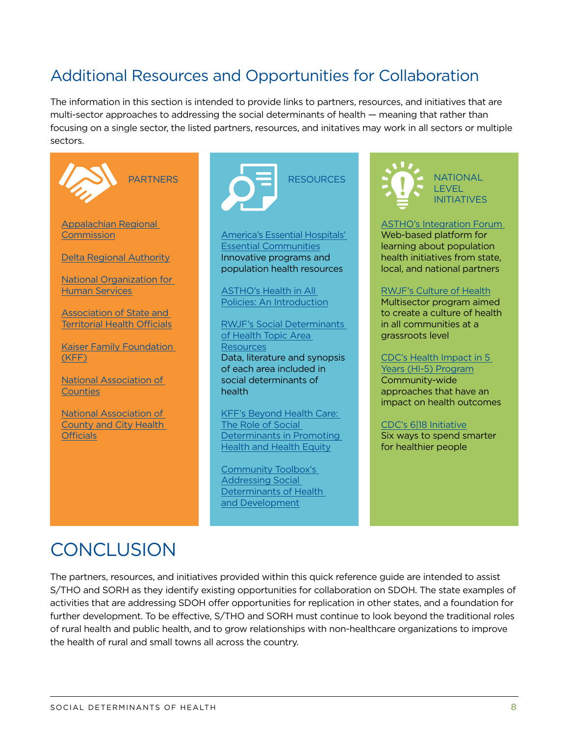#### Additional Resources and Opportunities for Collaboration

The information in this section is intended to provide links to partners, resources, and initiatives that are multi-sector approaches to addressing the social determinants of health — meaning that rather than focusing on a single sector, the listed partners, resources, and initatives may work in all sectors or multiple sectors.





America's Essential Hospitals' [Essential Communities](http://essentialcommunities.org/) Innovative programs and population health resources

ASTHO's [Health in All](http://www.astho.org/Programs/HiAP/)  [Policies: An Introduction](http://www.astho.org/Programs/HiAP/)

RWJF's [Social Determinants](http://www.rwjf.org/en/our-focus-areas/topics/social-determinants-of-health.html)  [of Health Topic Area](http://www.rwjf.org/en/our-focus-areas/topics/social-determinants-of-health.html)  **[Resources](http://www.rwjf.org/en/our-focus-areas/topics/social-determinants-of-health.html)** 

Data, literature and synopsis of each area included in social determinants of health

KFF's [Beyond Health Care:](http://www.kff.org/disparities-policy/issue-brief/beyond-health-care-the-role-of-social-determinants-in-promoting-health-and-health-equity/)  [The Role of Social](http://www.kff.org/disparities-policy/issue-brief/beyond-health-care-the-role-of-social-determinants-in-promoting-health-and-health-equity/)  [Determinants in Promoting](http://www.kff.org/disparities-policy/issue-brief/beyond-health-care-the-role-of-social-determinants-in-promoting-health-and-health-equity/)  [Health and Health Equity](http://www.kff.org/disparities-policy/issue-brief/beyond-health-care-the-role-of-social-determinants-in-promoting-health-and-health-equity/)

Community Toolbox's [Addressing Social](http://ctb.ku.edu/en/table-of-contents/analyze/analyze-community-problems-and-solutions/social-determinants-of-health/main)  [Determinants of Health](http://ctb.ku.edu/en/table-of-contents/analyze/analyze-community-problems-and-solutions/social-determinants-of-health/main)  [and Development](http://ctb.ku.edu/en/table-of-contents/analyze/analyze-community-problems-and-solutions/social-determinants-of-health/main)



ASTHO's [Integration Forum](http://www.astho.org/Primary-Care-and-Public-Health-Integration/)  Web-based platform for learning about population health initiatives from state,

#### RWJF's [Culture of Health](http://www.rwjf.org/en/how-we-work/building-a-culture-of-health.html)

local, and national partners

Multisector program aimed to create a culture of health in all communities at a grassroots level

CDC's [Health Impact in 5](https://www.cdc.gov/policy/hst/hi5/index.html) 

[Years \(HI-5\) Program](https://www.cdc.gov/policy/hst/hi5/index.html) Community-wide approaches that have an impact on health outcomes

#### CDC's [6|18 Initiative](https://www.cdc.gov/sixeighteen/)

Six ways to spend smarter for healthier people

### **CONCLUSION**

The partners, resources, and initiatives provided within this quick reference guide are intended to assist S/THO and SORH as they identify existing opportunities for collaboration on SDOH. The state examples of activities that are addressing SDOH offer opportunities for replication in other states, and a foundation for further development. To be effective, S/THO and SORH must continue to look beyond the traditional roles of rural health and public health, and to grow relationships with non-healthcare organizations to improve the health of rural and small towns all across the country.